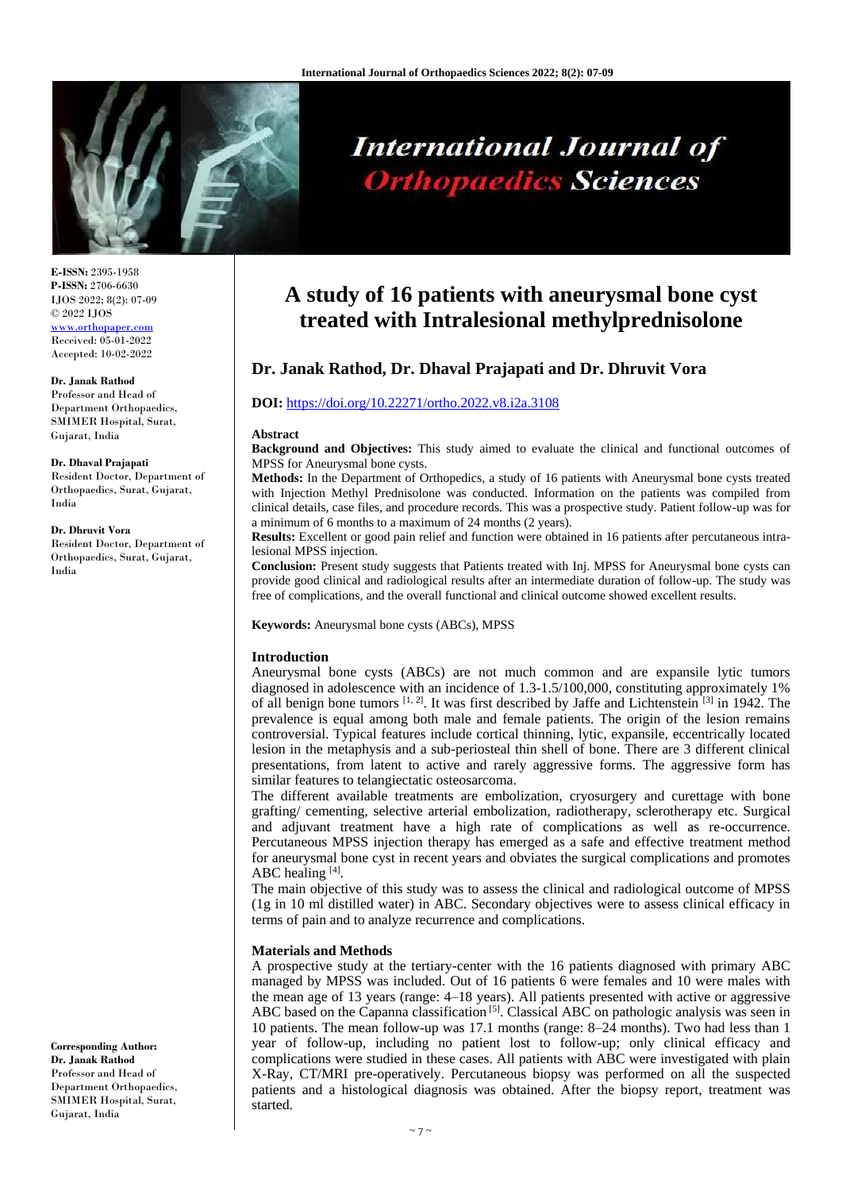

# **International Journal of Orthopaedics Sciences**

**E-ISSN:** 2395-1958 **P-ISSN:** 2706-6630 IJOS 2022; 8(2): 07-09 © 2022 IJOS [www.orthopaper.com](http://www.orthopaper.com/) Received: 05-01-2022 Accepted: 10-02-2022

#### **Dr. Janak Rathod**

Professor and Head of Department Orthopaedics, SMIMER Hospital, Surat, Gujarat, India

#### **Dr. Dhaval Prajapati**

Resident Doctor, Department of Orthopaedics, Surat, Gujarat, India

#### **Dr. Dhruvit Vora**

Resident Doctor, Department of Orthopaedics, Surat, Gujarat, India

**Corresponding Author: Dr. Janak Rathod** Professor and Head of Department Orthopaedics, SMIMER Hospital, Surat, Gujarat, India

## **A study of 16 patients with aneurysmal bone cyst treated with Intralesional methylprednisolone**

### **Dr. Janak Rathod, Dr. Dhaval Prajapati and Dr. Dhruvit Vora**

#### **DOI:** <https://doi.org/10.22271/ortho.2022.v8.i2a.3108>

#### **Abstract**

**Background and Objectives:** This study aimed to evaluate the clinical and functional outcomes of MPSS for Aneurysmal bone cysts.

**Methods:** In the Department of Orthopedics, a study of 16 patients with Aneurysmal bone cysts treated with Injection Methyl Prednisolone was conducted. Information on the patients was compiled from clinical details, case files, and procedure records. This was a prospective study. Patient follow-up was for a minimum of 6 months to a maximum of 24 months (2 years).

**Results:** Excellent or good pain relief and function were obtained in 16 patients after percutaneous intralesional MPSS injection.

**Conclusion:** Present study suggests that Patients treated with Inj. MPSS for Aneurysmal bone cysts can provide good clinical and radiological results after an intermediate duration of follow-up. The study was free of complications, and the overall functional and clinical outcome showed excellent results.

**Keywords:** Aneurysmal bone cysts (ABCs), MPSS

#### **Introduction**

Aneurysmal bone cysts (ABCs) are not much common and are expansile lytic tumors diagnosed in adolescence with an incidence of 1.3-1.5/100,000, constituting approximately 1% of all benign bone tumors [1, 2]. It was first described by Jaffe and Lichtenstein [3] in 1942. The prevalence is equal among both male and female patients. The origin of the lesion remains controversial. Typical features include cortical thinning, lytic, expansile, eccentrically located lesion in the metaphysis and a sub-periosteal thin shell of bone. There are 3 different clinical presentations, from latent to active and rarely aggressive forms. The aggressive form has similar features to telangiectatic osteosarcoma.

The different available treatments are embolization, cryosurgery and curettage with bone grafting/ cementing, selective arterial embolization, radiotherapy, sclerotherapy etc. Surgical and adjuvant treatment have a high rate of complications as well as re-occurrence. Percutaneous MPSS injection therapy has emerged as a safe and effective treatment method for aneurysmal bone cyst in recent years and obviates the surgical complications and promotes ABC healing  $[4]$ .

The main objective of this study was to assess the clinical and radiological outcome of MPSS (1g in 10 ml distilled water) in ABC. Secondary objectives were to assess clinical efficacy in terms of pain and to analyze recurrence and complications.

#### **Materials and Methods**

A prospective study at the tertiary-center with the 16 patients diagnosed with primary ABC managed by MPSS was included. Out of 16 patients 6 were females and 10 were males with the mean age of 13 years (range: 4–18 years). All patients presented with active or aggressive ABC based on the Capanna classification<sup>[5]</sup>. Classical ABC on pathologic analysis was seen in 10 patients. The mean follow-up was 17.1 months (range: 8–24 months). Two had less than 1 year of follow-up, including no patient lost to follow-up; only clinical efficacy and complications were studied in these cases. All patients with ABC were investigated with plain X-Ray, CT/MRI pre-operatively. Percutaneous biopsy was performed on all the suspected patients and a histological diagnosis was obtained. After the biopsy report, treatment was started.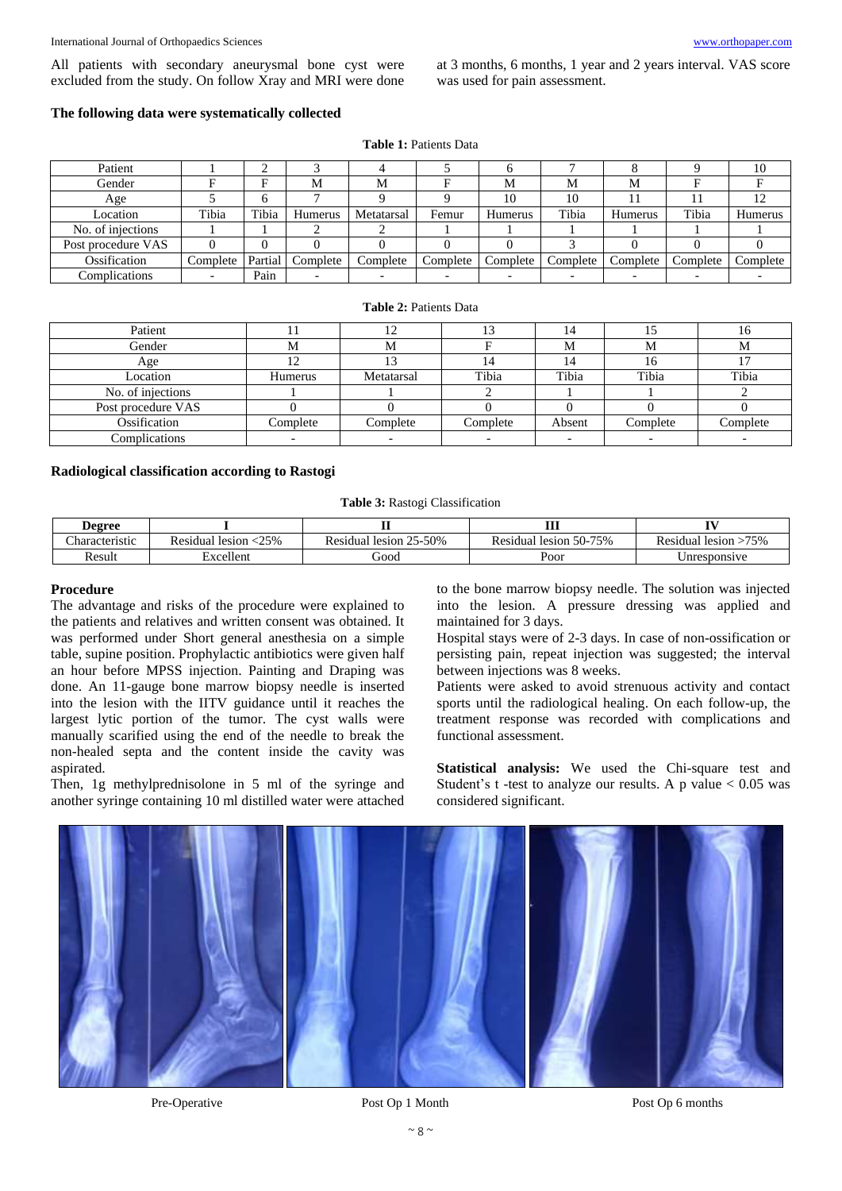All patients with secondary aneurysmal bone cyst were excluded from the study. On follow Xray and MRI were done at 3 months, 6 months, 1 year and 2 years interval. VAS score was used for pain assessment.

#### **The following data were systematically collected**

**Table 1:** Patients Data

| Patient            |          |         |          |            |          |          |          |          |          | 10       |
|--------------------|----------|---------|----------|------------|----------|----------|----------|----------|----------|----------|
| Gender             |          | F       | M        | М          |          | М        | M        | M        |          |          |
| Age                |          |         |          |            |          | 10       | 10       |          |          | 12       |
| Location           | Tibia    | Tibia   | Humerus  | Metatarsal | Femur    | Humerus  | Tibia    | Humerus  | Tibia    | Humerus  |
| No. of injections  |          |         |          |            |          |          |          |          |          |          |
| Post procedure VAS |          |         |          |            |          |          |          |          |          |          |
| Ossification       | Complete | Partial | Complete | Complete   | Complete | Complete | Complete | Complete | Complete | Complete |
| Complications      |          | Pain    |          | -          |          |          |          |          |          |          |

#### **Table 2:** Patients Data

| Patient            |          | 12         | 13       |        |          | 10.      |
|--------------------|----------|------------|----------|--------|----------|----------|
| Gender             | М        | М          |          | М      | M        | ΙVΙ      |
| Age                |          |            | 14       | 14     | 16       |          |
| Location           | Humerus  | Metatarsal | Tibia    | Tibia  | Tibia    | Tibia    |
| No. of injections  |          |            |          |        |          |          |
| Post procedure VAS |          |            |          |        |          |          |
| Ossification       | Complete | Complete   | Complete | Absent | Complete | Complete |
| Complications      |          |            |          |        |          |          |

#### **Radiological classification according to Rastogi**

**Table 3:** Rastogi Classification

| <b>Degree</b>       |                               |                              | ---<br>                      |                           |
|---------------------|-------------------------------|------------------------------|------------------------------|---------------------------|
| --<br>haracteristic | $<$ 25%<br>lesion<br>Residual | 25-50%<br>Residual<br>lesion | 50-75%<br>lesion<br>Residual | 75%<br>Residual<br>lesion |
| Result              | Excellent                     | boot                         | Poor                         | Unresponsive              |

#### **Procedure**

The advantage and risks of the procedure were explained to the patients and relatives and written consent was obtained. It was performed under Short general anesthesia on a simple table, supine position. Prophylactic antibiotics were given half an hour before MPSS injection. Painting and Draping was done. An 11-gauge bone marrow biopsy needle is inserted into the lesion with the IITV guidance until it reaches the largest lytic portion of the tumor. The cyst walls were manually scarified using the end of the needle to break the non-healed septa and the content inside the cavity was aspirated.

Then, 1g methylprednisolone in 5 ml of the syringe and another syringe containing 10 ml distilled water were attached to the bone marrow biopsy needle. The solution was injected into the lesion. A pressure dressing was applied and maintained for 3 days.

Hospital stays were of 2-3 days. In case of non-ossification or persisting pain, repeat injection was suggested; the interval between injections was 8 weeks.

Patients were asked to avoid strenuous activity and contact sports until the radiological healing. On each follow-up, the treatment response was recorded with complications and functional assessment.

**Statistical analysis:** We used the Chi-square test and Student's t-test to analyze our results. A p value  $< 0.05$  was considered significant.